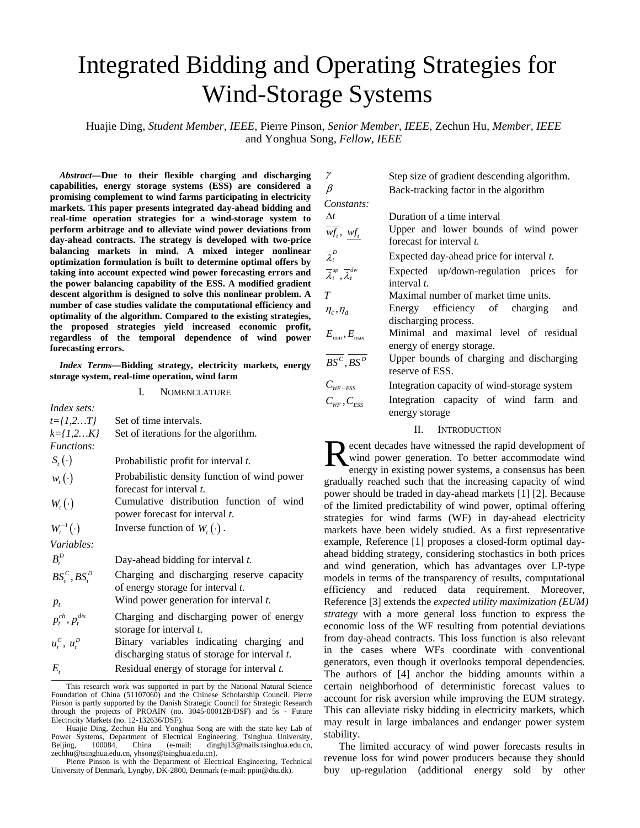# Integrated Bidding and Operating Strategies for Wind-Storage Systems

Huajie Ding, *Student Member, IEEE*, Pierre Pinson, *Senior Member, IEEE*, Zechun Hu, *Member, IEEE* and Yonghua Song, *Fellow, IEEE*

*Abstract***—Due to their flexible charging and discharging capabilities, energy storage systems (ESS) are considered a promising complement to wind farms participating in electricity markets. This paper presents integrated day-ahead bidding and real-time operation strategies for a wind-storage system to perform arbitrage and to alleviate wind power deviations from day-ahead contracts. The strategy is developed with two-price balancing markets in mind. A mixed integer nonlinear optimization formulation is built to determine optimal offers by taking into account expected wind power forecasting errors and the power balancing capability of the ESS. A modified gradient descent algorithm is designed to solve this nonlinear problem. A number of case studies validate the computational efficiency and optimality of the algorithm. Compared to the existing strategies, the proposed strategies yield increased economic profit, regardless of the temporal dependence of wind power forecasting errors.** 

*Index Terms***—Bidding strategy, electricity markets, energy storage system, real-time operation, wind farm**

## I. NOMENCLATURE

| Index sets:                            |                                                                                           |  |
|----------------------------------------|-------------------------------------------------------------------------------------------|--|
| $t = \{1, 2T\}$                        | Set of time intervals.                                                                    |  |
| $k = \{1, 2K\}$                        | Set of iterations for the algorithm.                                                      |  |
| <i>Functions:</i>                      |                                                                                           |  |
| $S_{t}(\cdot)$                         | Probabilistic profit for interval t.                                                      |  |
| $W_{t}(\cdot)$                         | Probabilistic density function of wind power<br>forecast for interval t.                  |  |
| $W_{t}(\cdot)$                         | Cumulative distribution function of wind<br>power forecast for interval t.                |  |
| $W_t^{-1}(\cdot)$                      | Inverse function of $W_t(\cdot)$ .                                                        |  |
| Variables:                             |                                                                                           |  |
| $B_{\cdot}^D$                          | Day-ahead bidding for interval t.                                                         |  |
| $BS_{\epsilon}^{C}, BS_{\epsilon}^{D}$ | Charging and discharging reserve capacity<br>of energy storage for interval t.            |  |
| $p_{t}$                                | Wind power generation for interval t.                                                     |  |
| $p_t^{ch}, p_t^{dis}$                  | Charging and discharging power of energy<br>storage for interval t.                       |  |
| $u_t^C$ , $u_t^D$                      | Binary variables indicating charging and<br>discharging status of storage for interval t. |  |
| E,                                     | Residual energy of storage for interval t.                                                |  |

This research work was supported in part by the National Natural Science Foundation of China (51107060) and the Chinese Scholarship Council. Pierre Pinson is partly supported by the Danish Strategic Council for Strategic Research through the projects of PROAIN (no. 3045-00012B/DSF) and 5s - Future Electricity Markets (no. 12-132636/DSF).

Pierre Pinson is with the Department of Electrical Engineering, Technical University of Denmark, Lyngby, DK-2800, Denmark (e-mail: ppin@dtu.dk).

| γ                                                             | Step size of gradient descending algorithm.                        |  |  |
|---------------------------------------------------------------|--------------------------------------------------------------------|--|--|
| β                                                             | Back-tracking factor in the algorithm                              |  |  |
| Constants:                                                    |                                                                    |  |  |
| $\Delta t$                                                    | Duration of a time interval                                        |  |  |
| $\overline{wf_t}$ , $wf_t$                                    | Upper and lower bounds of wind power<br>forecast for interval t.   |  |  |
| $\overline{\lambda}^D_t$                                      | Expected day-ahead price for interval t.                           |  |  |
| $\overline{\lambda}^{up}_{t}$ , $\overline{\lambda}^{dw}_{t}$ | Expected up/down-regulation prices for<br>interval t.              |  |  |
| T                                                             | Maximal number of market time units.                               |  |  |
| $\eta_c, \eta_d$                                              | Energy efficiency of charging<br>and<br>discharging process.       |  |  |
| $E_{\min}, E_{\max}$                                          | Minimal and maximal level of residual<br>energy of energy storage. |  |  |
| $BS^C$ , $BS^D$                                               | Upper bounds of charging and discharging<br>reserve of ESS.        |  |  |
| $C_{_{WF-ESS}}$                                               | Integration capacity of wind-storage system                        |  |  |
| $C_{\scriptscriptstyle WF}$ , $C_{\scriptscriptstyle FSS}$    | Integration capacity of wind farm and<br>energy storage            |  |  |

#### II. INTRODUCTION

Recent decades have witnessed the rapid development of wind power generation. To better accommodate wind energy in existing power systems, a consensus has been wind power generation. To better accommodate wind

energy in existing power systems, a consensus has been gradually reached such that the increasing capacity of wind power should be traded in day-ahead markets [1] [2]. Because of the limited predictability of wind power, optimal offering strategies for wind farms (WF) in day-ahead electricity markets have been widely studied. As a first representative example, Reference [1] proposes a closed-form optimal dayahead bidding strategy, considering stochastics in both prices and wind generation, which has advantages over LP-type models in terms of the transparency of results, computational efficiency and reduced data requirement. Moreover, Reference [3] extends the *expected utility maximization (EUM) strategy* with a more general loss function to express the economic loss of the WF resulting from potential deviations from day-ahead contracts. This loss function is also relevant in the cases where WFs coordinate with conventional generators, even though it overlooks temporal dependencies. The authors of [4] anchor the bidding amounts within a certain neighborhood of deterministic forecast values to account for risk aversion while improving the EUM strategy. This can alleviate risky bidding in electricity markets, which may result in large imbalances and endanger power system stability.

The limited accuracy of wind power forecasts results in revenue loss for wind power producers because they should buy up-regulation (additional energy sold by other

Huajie Ding, Zechun Hu and Yonghua Song are with the state key Lab of Power Systems, Department of Electrical Engineering, Tsinghua University, Beijing, 100084, China (e-mail: dinghj13@mails.tsinghua.edu.cn, dinghj13@mails.tsinghua.edu.cn, zechhu@tsinghua.edu.cn, yhsong@tsinghua.edu.cn).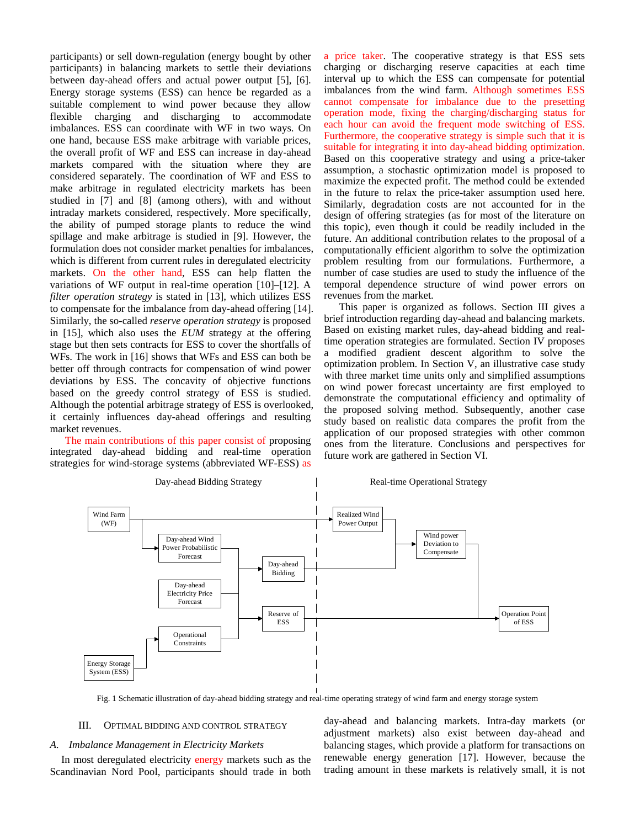participants) or sell down-regulation (energy bought by other participants) in balancing markets to settle their deviations between day-ahead offers and actual power output [5], [6]. Energy storage systems (ESS) can hence be regarded as a suitable complement to wind power because they allow flexible charging and discharging to accommodate imbalances. ESS can coordinate with WF in two ways. On one hand, because ESS make arbitrage with variable prices, the overall profit of WF and ESS can increase in day-ahead markets compared with the situation where they are considered separately. The coordination of WF and ESS to make arbitrage in regulated electricity markets has been studied in [7] and [8] (among others), with and without intraday markets considered, respectively. More specifically, the ability of pumped storage plants to reduce the wind spillage and make arbitrage is studied in [9]. However, the formulation does not consider market penalties for imbalances, which is different from current rules in deregulated electricity markets. On the other hand, ESS can help flatten the variations of WF output in real-time operation [10]–[12]. A *filter operation strategy* is stated in [13], which utilizes ESS to compensate for the imbalance from day-ahead offering [14]. Similarly, the so-called *reserve operation strategy* is proposed in [15], which also uses the *EUM* strategy at the offering stage but then sets contracts for ESS to cover the shortfalls of WFs. The work in [16] shows that WFs and ESS can both be better off through contracts for compensation of wind power deviations by ESS. The concavity of objective functions based on the greedy control strategy of ESS is studied. Although the potential arbitrage strategy of ESS is overlooked, it certainly influences day-ahead offerings and resulting market revenues.

The main contributions of this paper consist of proposing integrated day-ahead bidding and real-time operation strategies for wind-storage systems (abbreviated WF-ESS) as

a price taker. The cooperative strategy is that ESS sets charging or discharging reserve capacities at each time interval up to which the ESS can compensate for potential imbalances from the wind farm. Although sometimes ESS cannot compensate for imbalance due to the presetting operation mode, fixing the charging/discharging status for each hour can avoid the frequent mode switching of ESS. Furthermore, the cooperative strategy is simple such that it is suitable for integrating it into day-ahead bidding optimization. Based on this cooperative strategy and using a price-taker assumption, a stochastic optimization model is proposed to maximize the expected profit. The method could be extended in the future to relax the price-taker assumption used here. Similarly, degradation costs are not accounted for in the design of offering strategies (as for most of the literature on this topic), even though it could be readily included in the future. An additional contribution relates to the proposal of a computationally efficient algorithm to solve the optimization problem resulting from our formulations. Furthermore, a number of case studies are used to study the influence of the temporal dependence structure of wind power errors on revenues from the market.

This paper is organized as follows. Section [III](#page-1-0) gives a brief introduction regarding day-ahead and balancing markets. Based on existing market rules, day-ahead bidding and realtime operation strategies are formulated. Section [IV](#page-3-0) proposes a modified gradient descent algorithm to solve the optimization problem. In Section [V,](#page-4-0) an illustrative case study with three market time units only and simplified assumptions on wind power forecast uncertainty are first employed to demonstrate the computational efficiency and optimality of the proposed solving method. Subsequently, another case study based on realistic data compares the profit from the application of our proposed strategies with other common ones from the literature. Conclusions and perspectives for future work are gathered in Section [VI.](#page-7-0)



Fig. 1 Schematic illustration of day-ahead bidding strategy and real-time operating strategy of wind farm and energy storage system

#### <span id="page-1-1"></span>III. OPTIMAL BIDDING AND CONTROL STRATEGY

#### <span id="page-1-0"></span>*A. Imbalance Management in Electricity Markets*

In most deregulated electricity energy markets such as the Scandinavian Nord Pool, participants should trade in both day-ahead and balancing markets. Intra-day markets (or adjustment markets) also exist between day-ahead and balancing stages, which provide a platform for transactions on renewable energy generation [17]. However, because the trading amount in these markets is relatively small, it is not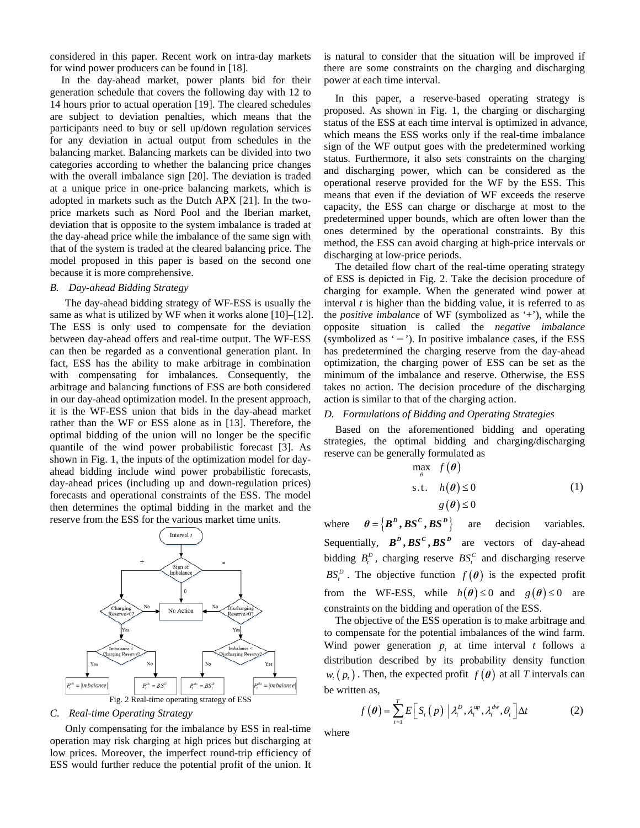considered in this paper. Recent work on intra-day markets for wind power producers can be found in [18].

In the day-ahead market, power plants bid for their generation schedule that covers the following day with 12 to 14 hours prior to actual operation [19]. The cleared schedules are subject to deviation penalties, which means that the participants need to buy or sell up/down regulation services for any deviation in actual output from schedules in the balancing market. Balancing markets can be divided into two categories according to whether the balancing price changes with the overall imbalance sign [20]. The deviation is traded at a unique price in one-price balancing markets, which is adopted in markets such as the Dutch APX [21]. In the twoprice markets such as Nord Pool and the Iberian market, deviation that is opposite to the system imbalance is traded at the day-ahead price while the imbalance of the same sign with that of the system is traded at the cleared balancing price. The model proposed in this paper is based on the second one because it is more comprehensive.

#### *B. Day-ahead Bidding Strategy*

The day-ahead bidding strategy of WF-ESS is usually the same as what is utilized by WF when it works alone [10]–[12]. The ESS is only used to compensate for the deviation between day-ahead offers and real-time output. The WF-ESS can then be regarded as a conventional generation plant. In fact, ESS has the ability to make arbitrage in combination with compensating for imbalances. Consequently, the arbitrage and balancing functions of ESS are both considered in our day-ahead optimization model. In the present approach, it is the WF-ESS union that bids in the day-ahead market rather than the WF or ESS alone as in [13]. Therefore, the optimal bidding of the union will no longer be the specific quantile of the wind power probabilistic forecast [3]. As shown in [Fig. 1,](#page-1-1) the inputs of the optimization model for dayahead bidding include wind power probabilistic forecasts, day-ahead prices (including up and down-regulation prices) forecasts and operational constraints of the ESS. The model then determines the optimal bidding in the market and the reserve from the ESS for the various market time units.



<span id="page-2-0"></span>*C. Real-time Operating Strategy*

Only compensating for the imbalance by ESS in real-time operation may risk charging at high prices but discharging at low prices. Moreover, the imperfect round-trip efficiency of ESS would further reduce the potential profit of the union. It

is natural to consider that the situation will be improved if there are some constraints on the charging and discharging power at each time interval.

In this paper, a reserve-based operating strategy is proposed. As shown in [Fig. 1,](#page-1-1) the charging or discharging status of the ESS at each time interval is optimized in advance, which means the ESS works only if the real-time imbalance sign of the WF output goes with the predetermined working status. Furthermore, it also sets constraints on the charging and discharging power, which can be considered as the operational reserve provided for the WF by the ESS. This means that even if the deviation of WF exceeds the reserve capacity, the ESS can charge or discharge at most to the predetermined upper bounds, which are often lower than the ones determined by the operational constraints. By this method, the ESS can avoid charging at high-price intervals or discharging at low-price periods.

The detailed flow chart of the real-time operating strategy of ESS is depicted in [Fig. 2.](#page-2-0) Take the decision procedure of charging for example. When the generated wind power at interval *t* is higher than the bidding value, it is referred to as the *positive imbalance* of WF (symbolized as '+'), while the opposite situation is called the *negative imbalance* (symbolized as  $\div$ ). In positive imbalance cases, if the ESS has predetermined the charging reserve from the day-ahead optimization, the charging power of ESS can be set as the minimum of the imbalance and reserve. Otherwise, the ESS takes no action. The decision procedure of the discharging action is similar to that of the charging action.

## *D. Formulations of Bidding and Operating Strategies*

Based on the aforementioned bidding and operating strategies, the optimal bidding and charging/discharging reserve can be generally formulated as

$$
\max_{\theta} f(\theta)
$$
  
s.t.  $h(\theta) \le 0$   
 $g(\theta) \le 0$  (1)

where  $\theta = {\boldsymbol{B}^D, \boldsymbol{B} \boldsymbol{S}^C, \boldsymbol{B} \boldsymbol{S}^D}$  are decision variables. Sequentially,  $B^D$ ,  $BS^C$ ,  $BS^D$  are vectors of day-ahead bidding  $B_t^D$ , charging reserve  $BS_t^C$  and discharging reserve  $BS_t^D$ . The objective function  $f(\theta)$  is the expected profit from the WF-ESS, while  $h(\theta) \le 0$  and  $g(\theta) \le 0$  are constraints on the bidding and operation of the ESS.

The objective of the ESS operation is to make arbitrage and to compensate for the potential imbalances of the wind farm. Wind power generation  $p_t$  at time interval *t* follows a distribution described by its probability density function  $w_{r}(p_{r})$ . Then, the expected profit  $f(\theta)$  at all *T* intervals can be written as,

$$
f(\theta) = \sum_{t=1}^{T} E\Big[S_t(p) | \lambda_t^D, \lambda_t^{up}, \lambda_t^{dw}, \theta_t\Big] \Delta t \tag{2}
$$

where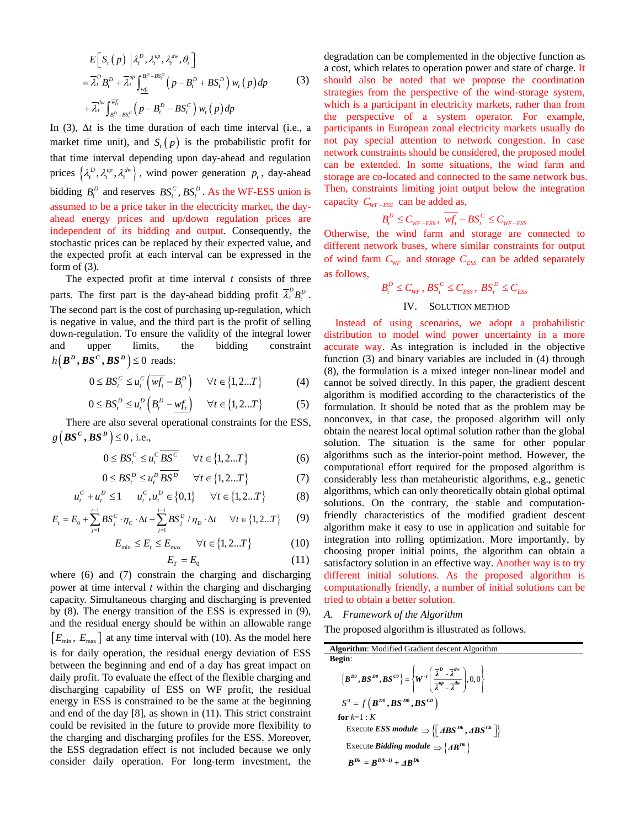$$
E\left[S_{t}(p) | \lambda_{t}^{D}, \lambda_{t}^{up}, \lambda_{t}^{dw}, \theta_{t}\right]
$$
\n
$$
= \overline{\lambda}_{t}^{D} B_{t}^{D} + \overline{\lambda}_{t}^{up} \int_{\frac{w_{t}^{L}}{B_{t}}}\beta_{t}^{B_{t}^{D} - B_{t}^{D}} \left(p - B_{t}^{D} + BS_{t}^{D}\right) w_{t}(p) dp
$$
\n
$$
+ \overline{\lambda}_{t}^{dw} \int_{B_{t}^{D} + BS_{t}^{C}}^{\overline{w_{t}}} \left(p - B_{t}^{D} - BS_{t}^{C}\right) w_{t}(p) dp
$$
\n(3)

In (3), ∆*t* is the time duration of each time interval (i.e., a market time unit), and  $S_t(p)$  is the probabilistic profit for that time interval depending upon day-ahead and regulation prices  $\{\lambda_t^D, \lambda_t^{up}, \lambda_t^{dw}\}\$ , wind power generation  $p_t$ , day-ahead bidding  $B_t^D$  and reserves  $BS_t^C$ ,  $BS_t^D$ . As the WF-ESS union is assumed to be a price taker in the electricity market, the dayahead energy prices and up/down regulation prices are independent of its bidding and output. Consequently, the stochastic prices can be replaced by their expected value, and the expected profit at each interval can be expressed in the form of  $(3)$ .

The expected profit at time interval *t* consists of three parts. The first part is the day-ahead bidding profit  $\overline{\lambda}_i^D B_i^D$ . The second part is the cost of purchasing up-regulation, which is negative in value, and the third part is the profit of selling down-regulation. To ensure the validity of the integral lower and upper limits, the bidding constraint  $h(\mathbf{B}^D, \mathbf{B} \mathbf{S}^C, \mathbf{B} \mathbf{S}^D) \leq 0$  reads:

$$
0 \leq BS_t^C \leq u_t^C \left( \overline{wf_t} - B_t^D \right) \quad \forall t \in \{1, 2...T\}
$$
 (4)

$$
0 \leq BS_t^D \leq u_t^D \left( B_t^D - \underline{wf}_t \right) \quad \forall t \in \{1, 2...T\}
$$
 (5)

There are also several operational constraints for the ESS,  $g\left(\textbf{BS}^c,\textbf{BS}^D\right) \leq 0$ , i.e.,

$$
0 \le BS_t^C \le u_t^C \overline{BS^C} \qquad \forall t \in \{1, 2...T\}
$$
 (6)

$$
0 \le BS_t^D \le u_t^D BS^D \qquad \forall t \in \{1, 2...T\}
$$
  
\n
$$
u_t^C + u_t^D \le 1 \qquad u_t^C, u_t^D \in \{0, 1\} \qquad \forall t \in \{1, 2...T\}
$$
 (8)

$$
E_t = E_0 + \sum_{j=1}^{t-1} BS_j^C \cdot \eta_C \cdot \Delta t - \sum_{j=1}^{t-1} BS_j^D / \eta_D \cdot \Delta t \quad \forall t \in \{1, 2...T\}
$$
 (9)

$$
E_{\min} \le E_t \le E_{\max} \qquad \forall t \in \{1, 2...T\} \tag{10}
$$
\n
$$
E_{\min} = E \tag{11}
$$

$$
E_T = E_0
$$
 (11)  
where (6) and (7) constrain the charging and discharging  
power at time interval *t* within the charging and discharging  
capacity. Simultaneous charging and discharging is prevented  
by (8). The energy transition of the ESS is expressed in (9),  
and the residual energy should be within an allowable range  
 $[E_{\min}, E_{\max}]$  at any time interval with (10). As the model here  
is for daily operation, the residual energy deviation of ESS  
between the beginning and end of a day has great impact on  
daily profit. To evaluate the effect of the flexible charging and  
discharging capability of ESS on WF profit, the residual  
energy in ESS is constrained to be the same at the beginning

energy in ESS is constrained to be the same at the beginning and end of the day [8], as shown in (11). This strict constraint could be revisited in the future to provide more flexibility to the charging and discharging profiles for the ESS. Moreover, the ESS degradation effect is not included because we only consider daily operation. For long-term investment, the

degradation can be complemented in the objective function as a cost, which relates to operation power and state of charge. It should also be noted that we propose the coordination strategies from the perspective of the wind-storage system, which is a participant in electricity markets, rather than from the perspective of a system operator. For example, participants in European zonal electricity markets usually do not pay special attention to network congestion. In case network constraints should be considered, the proposed model can be extended. In some situations, the wind farm and storage are co-located and connected to the same network bus. Then, constraints limiting joint output below the integration capacity  $C_{WF-ESS}$  can be added as,

$$
B_t^D \leq C_{\text{WF}-ESS}, \ \overline{wf_t} - BS_t^C \leq C_{\text{WF}-ESS}
$$

Otherwise, the wind farm and storage are connected to different network buses, where similar constraints for output of wind farm  $C_{WF}$  and storage  $C_{ESS}$  can be added separately as follows,

$$
B_t^D \leq C_{\text{WF}}, BS_t^C \leq C_{\text{ESS}}, BS_t^D \leq C_{\text{ESS}}
$$
  
IV. SOLUTION METHOD

<span id="page-3-0"></span>Instead of using scenarios, we adopt a probabilistic distribution to model wind power uncertainty in a more accurate way. As integration is included in the objective function (3) and binary variables are included in (4) through (8), the formulation is a mixed integer non-linear model and cannot be solved directly. In this paper, the gradient descent algorithm is modified according to the characteristics of the formulation. It should be noted that as the problem may be nonconvex, in that case, the proposed algorithm will only obtain the nearest local optimal solution rather than the global solution. The situation is the same for other popular algorithms such as the interior-point method. However, the computational effort required for the proposed algorithm is considerably less than metaheuristic algorithms, e.g., genetic algorithms, which can only theoretically obtain global optimal solutions. On the contrary, the stable and computationfriendly characteristics of the modified gradient descent algorithm make it easy to use in application and suitable for integration into rolling optimization. More importantly, by choosing proper initial points, the algorithm can obtain a satisfactory solution in an effective way. Another way is to try different initial solutions. As the proposed algorithm is computationally friendly, a number of initial solutions can be tried to obtain a better solution.

## *A. Framework of the Algorithm*

The proposed algorithm is illustrated as follows.

| <b>Algorithm:</b> Modified Gradient descent Algorithm                                                                                                                                                                             |  |
|-----------------------------------------------------------------------------------------------------------------------------------------------------------------------------------------------------------------------------------|--|
| <b>Begin:</b>                                                                                                                                                                                                                     |  |
| $\left\{\pmb{B}^{D\theta}, \pmb{B} S^{D\theta}, \pmb{B} S^{C\theta}\right\} = \left\{\pmb{W}^{-I}\left(\frac{\overline{\lambda}^D-\overline{\lambda}^{dw}}{\overline{\lambda}^{up}-\overline{\lambda}^{dw}}\right), 0, 0\right\}$ |  |
| $S^0 = f(B^{D0}, BS^{D0}, BS^{C0})$                                                                                                                                                                                               |  |
| for $k=1:K$                                                                                                                                                                                                                       |  |
| Execute ESS module $\Rightarrow \left\{ \left[ \right. ABS^{Dk}, ABS^{Ck} \right] \right\}$                                                                                                                                       |  |
| Execute <i>Bidding module</i> $\Rightarrow$ $\{AB^{Dk}\}\$                                                                                                                                                                        |  |
| $B^{Dk} = B^{D(k-1)} + AB^{Dk}$                                                                                                                                                                                                   |  |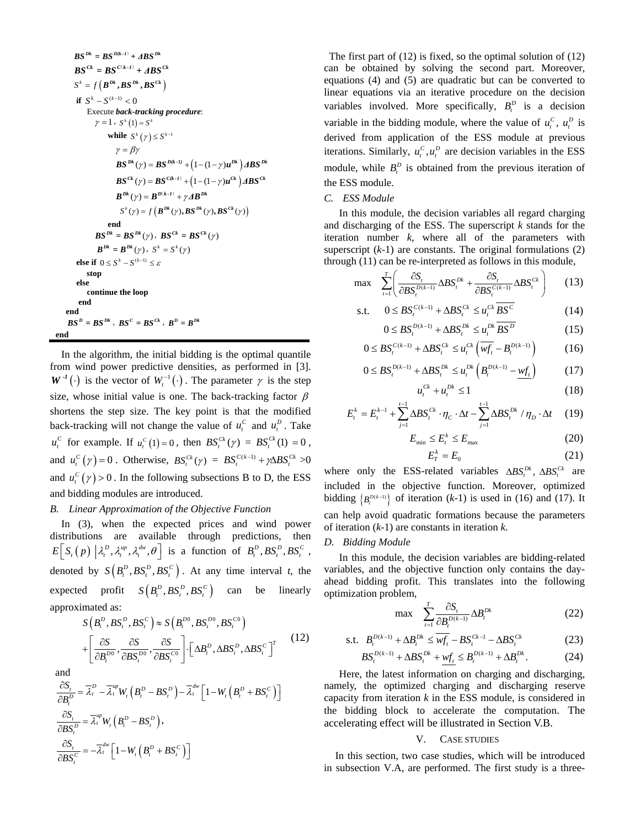$$
BS^{Dk} = BS^{D(k-1)} + ABS^{Dk}
$$
\n
$$
BS^{Ck} = BS^{C(k-1)} + ABS^{Ck}
$$
\n
$$
S^{k} = f(B^{Dk}, BS^{Dk}, BS^{Ck})
$$
\nif  $S^{k} - S^{(k-1)} < 0$   
\nExecute back-tracking procedure:  
\n $\gamma = 1$ ,  $S^{k}(1) = S^{k}$   
\nwhile  $S^{k}(\gamma) \le S^{k-1}$   
\n $\gamma = \beta \gamma$   
\n $BS^{Dk}(\gamma) = BS^{D(k-1)} + (1 - (1 - \gamma)u^{Dk})$   $\triangle$   $BS^{Dk}$   
\n $BS^{Ck}(\gamma) = BS^{C(k-1)} + (1 - (1 - \gamma)u^{Ck})$   $\triangle$   $BS^{Ck}$   
\n $B^{Dk}(\gamma) = B^{D(k-1)} + \gamma \triangle B^{Dk}$   
\n $S^{k}(\gamma) = f(B^{Dk}(\gamma), BS^{Dk}(\gamma), BS^{Ck}(\gamma))$   
\nend  
\n $BS^{Dk} = BS^{Dk}(\gamma)$ ,  $BS^{Ck} = BS^{Ck}(\gamma)$   
\n $B^{Dk} = B^{Dk}(\gamma)$ ,  $S^{k} = S^{k}(\gamma)$   
\nelse if  $0 \le S^{k} - S^{(k-1)} \le \varepsilon$   
\nstop  
\nelse  
\ncontinue the loop  
\nend  
\n $BS^{Dk} = BS^{Dk}$ ,  $BS^{C} = BS^{Ck}$ ,  $B^{D} = B^{Dk}$   
\nend  
\n $BS^{D} = BS^{Dk}$ ,  $BS^{C} = BS^{Ck}$ ,  $B^{D} = B^{Dk}$ 

In the algorithm, the initial bidding is the optimal quantile from wind power predictive densities, as performed in [3].  $W^{-1}(\cdot)$  is the vector of  $W^{-1}(\cdot)$ . The parameter  $\gamma$  is the step size, whose initial value is one. The back-tracking factor  $\beta$ shortens the step size. The key point is that the modified back-tracking will not change the value of  $u_t^C$  and  $u_t^D$ . Take  $u_t^C$  for example. If  $u_t^C(1) = 0$ , then  $BS_t^{Ck}(\gamma) = BS_t^{Ck}(1) = 0$ , and  $u_t^C(\gamma) = 0$ . Otherwise,  $BS_t^{Ck}(\gamma) = BS_t^{C(k-1)} + \gamma \Delta BS_t^{Ck} > 0$ and  $u_t^C(\gamma) > 0$ . In the following subsections [B](#page-4-1) to [D,](#page-4-2) the ESS and bidding modules are introduced.

## <span id="page-4-1"></span>*B. Linear Approximation of the Objective Function*

In (3), when the expected prices and wind power distributions are available through predictions, then  $E\left[ S_t(p) \middle| \lambda_t^D, \lambda_t^{up}, \lambda_t^{dw}, \theta \right]$  is a function of  $B_t^D, BS_t^D, BS_t^C$ , denoted by  $S(B_t^D, BS_t^D, BS_t^C)$ . At any time interval *t*, the expected profit  $S(B_t^D, BS_t^D, BS_t^C)$  can be linearly approximated as:

$$
S\left(B_{i}^{D}, BS_{i}^{D}, BS_{i}^{C}\right) \approx S\left(B_{i}^{D0}, BS_{i}^{D0}, BS_{i}^{C0}\right)
$$

$$
+\left[\frac{\partial S}{\partial B_{i}^{D0}}, \frac{\partial S}{\partial BS_{i}^{D0}}, \frac{\partial S}{\partial BS_{i}^{C0}}\right] \cdot \left[\Delta B_{i}^{D}, \Delta BS_{i}^{D}, \Delta BS_{i}^{C}\right]^{T}
$$
(12)

and

$$
\frac{\partial S_t}{\partial B_t^D} = \overline{\lambda}_t^D - \overline{\lambda}_t^{up} W_t \left( B_t^D - BS_t^D \right) - \overline{\lambda}_t^{dw} \left[ 1 - W_t \left( B_t^D + BS_t^C \right) \right]
$$
  
\n
$$
\frac{\partial S_t}{\partial BS_t^D} = \overline{\lambda}_t^{aw} W_t \left( B_t^D - BS_t^D \right),
$$
  
\n
$$
\frac{\partial S_t}{\partial BS_t^C} = -\overline{\lambda}_t^{dw} \left[ 1 - W_t \left( B_t^D + BS_t^C \right) \right]
$$

The first part of (12) is fixed, so the optimal solution of (12) can be obtained by solving the second part. Moreover, equations (4) and (5) are quadratic but can be converted to linear equations via an iterative procedure on the decision variables involved. More specifically,  $B_t^D$  is a decision variable in the bidding module, where the value of  $u_t^C$ ,  $u_t^D$  is derived from application of the ESS module at previous iterations. Similarly,  $u_t^C$ ,  $u_t^D$  are decision variables in the ESS module, while  $B_t^D$  is obtained from the previous iteration of the ESS module.

# *C. ESS Module*

In this module, the decision variables all regard charging and discharging of the ESS. The superscript *k* stands for the iteration number *k*, where all of the parameters with superscript  $(k-1)$  are constants. The original formulations  $(2)$ through (11) can be re-interpreted as follows in this module,

$$
\max \quad \sum_{t=1}^{T} \left( \frac{\partial S_t}{\partial \mathbf{B} S_t^{D(k-1)}} \Delta \mathbf{B} S_t^{Dk} + \frac{\partial S_t}{\partial \mathbf{B} S_t^{C(k-1)}} \Delta \mathbf{B} S_t^{Ck} \right) \tag{13}
$$

s.t. 
$$
0 \le BS_t^{C(k-1)} + \Delta BS_t^{Ck} \le u_t^{Ck} BS^C
$$
 (14)  
\n $0 \le BS_t^{D(k-1)} + \Delta BS_t^{Dk} \le u_t^{Dk} BS^D$  (15)

$$
0 \le BS_t^{C(k-1)} + \Delta BS_t^{Ck} \le u_t^{Ck} \left( \overline{wf_t} - B_t^{D(k-1)} \right) \tag{16}
$$

$$
0 \le BS_t^{D(k-1)} + \Delta BS_t^{Dk} \le u_t^{Dk} \left( B_t^{D(k-1)} - \underline{wf}_t \right) \tag{17}
$$

$$
u_t^{Ck} + u_t^{Dk} \le 1\tag{18}
$$

$$
E_t^k = E_t^{k-1} + \sum_{j=1}^{t-1} \Delta BS_t^{Ck} \cdot \eta_C \cdot \Delta t - \sum_{j=1}^{t-1} \Delta BS_t^{Dk} / \eta_D \cdot \Delta t \qquad (19)
$$

$$
E_{\min} \le E_t^k \le E_{\max} \tag{20}
$$

$$
E_T^k = E_0 \tag{21}
$$

where only the ESS-related variables  $\Delta BS^{Dk}_t$ ,  $\Delta BS^{Ck}_t$  are included in the objective function. Moreover, optimized bidding  $\{B_t^{D(k-1)}\}$  of iteration (*k*-1) is used in (16) and (17). It can help avoid quadratic formations because the parameters of iteration (*k-*1) are constants in iteration *k*.

### <span id="page-4-2"></span>*D. Bidding Module*

In this module, the decision variables are bidding-related variables, and the objective function only contains the dayahead bidding profit. This translates into the following optimization problem,

$$
\max \sum_{t=1}^T \frac{\partial S_t}{\partial B_t^{D(k-1)}} \Delta B_t^{Dk} \tag{22}
$$

s.t. 
$$
B_t^{D(k-1)} + \Delta B_t^{Dk} \le \overline{wf_t} - BS_t^{Ck-1} - \Delta BS_t^{Ck}
$$
 (23)

$$
BS_t^{D(k-1)} + \Delta BS_t^{Dk} + \underline{wf}_t \le B_t^{D(k-1)} + \Delta B_t^{Dk}.
$$
 (24)

Here, the latest information on charging and discharging, namely, the optimized charging and discharging reserve capacity from iteration *k* in the ESS module, is considered in the bidding block to accelerate the computation. The accelerating effect will be illustrated in Section [V.B.](#page-5-0)

#### V. CASE STUDIES

<span id="page-4-0"></span>In this section, two case studies, which will be introduced in subsection [V.A,](#page-5-1) are performed. The first study is a three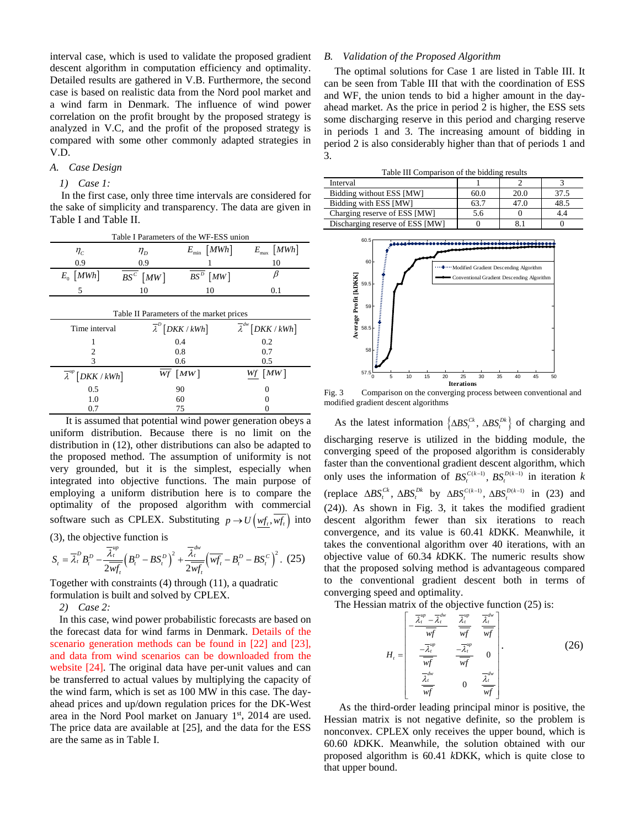interval case, which is used to validate the proposed gradient descent algorithm in computation efficiency and optimality. Detailed results are gathered in [V.B.](#page-5-0) Furthermore, the second case is based on realistic data from the Nord pool market and a wind farm in Denmark. The influence of wind power correlation on the profit brought by the proposed strategy is analyzed in [V.C,](#page-6-0) and the profit of the proposed strategy is compared with some other commonly adapted strategies in [V.D.](#page-6-1)

# <span id="page-5-1"></span>*A. Case Design*

*1) Case 1:*

In the first case, only three time intervals are considered for the sake of simplicity and transparency. The data are given in [Table I](#page-5-2) and [Table II.](#page-5-3)

<span id="page-5-2"></span>

|                | Table I Parameters of the WF-ESS union   |             |                                    |                                                  |
|----------------|------------------------------------------|-------------|------------------------------------|--------------------------------------------------|
|                | $\eta_c$                                 | $\eta_{D}$  | $E_{\min}$ [ <i>MWh</i> ]          | $E_{\text{max}}$ [ <i>MWh</i> ]                  |
|                | 0.9                                      | 0.9         |                                    | 10                                               |
|                | $E_0$ [MWh]                              | $BS^c$ [MW] | $BS^D$ [MW]                        | β                                                |
|                | 5                                        | 10          | 10                                 | 0.1                                              |
|                | Table II Parameters of the market prices |             |                                    |                                                  |
|                | Time interval                            |             | $\overline{\lambda}^D$ [DKK / kWh] | $\overline{\lambda}^{dw}$ $\left[DKK/kWh\right]$ |
|                |                                          |             | 0.4                                | 0.2                                              |
| $\overline{c}$ |                                          |             | 0.8                                | 0.7                                              |
|                |                                          |             | 0.6                                | 0.5                                              |

<span id="page-5-3"></span>

| Table II Parameters of the market prices         |                                            |                                               |  |
|--------------------------------------------------|--------------------------------------------|-----------------------------------------------|--|
| Time interval                                    | $\overline{\lambda}^D$ [ <i>DKK</i> / kWh] | $\overline{\lambda}^{dw}\left[DKK/kWh\right]$ |  |
|                                                  | 0.4                                        | 0.2                                           |  |
| $\mathfrak{D}$                                   | 0.8                                        | 0.7                                           |  |
| 3                                                | 0.6                                        | 0.5                                           |  |
| $\overline{\lambda}^{up}$ $\left[DKK/kWh\right]$ | $Wf$ $MW$                                  | $\lceil MW \rceil$<br>Wf                      |  |
| 0.5                                              | 90                                         |                                               |  |
| 1.0                                              | 60                                         |                                               |  |
| 0.7                                              | 75                                         |                                               |  |
|                                                  |                                            |                                               |  |

It is assumed that potential wind power generation obeys a uniform distribution. Because there is no limit on the distribution in (12), other distributions can also be adapted to the proposed method. The assumption of uniformity is not very grounded, but it is the simplest, especially when integrated into objective functions. The main purpose of employing a uniform distribution here is to compare the optimality of the proposed algorithm with commercial software such as CPLEX. Substituting  $p \rightarrow U(wf_t, \overline{wf_t})$  into

(3), the objective function is

$$
S_{t} = \overline{\lambda}_{t}^{D} B_{t}^{D} - \frac{\overline{\lambda}_{t}^{up}}{2 \overline{w_{t}} \left(B_{t}^{D} - BS_{t}^{D}\right)^{2} + \frac{\overline{\lambda}_{t}^{dw}}{2 \overline{w_{t}} \left(\overline{w_{t}} - B_{t}^{D} - BS_{t}^{C}\right)^{2}}. (25)
$$

Together with constraints (4) through (11), a quadratic formulation is built and solved by CPLEX.

*2) Case 2:*

In this case, wind power probabilistic forecasts are based on the forecast data for wind farms in Denmark. Details of the scenario generation methods can be found in [22] and [23], and data from wind scenarios can be downloaded from the website [24]. The original data have per-unit values and can be transferred to actual values by multiplying the capacity of the wind farm, which is set as 100 MW in this case. The dayahead prices and up/down regulation prices for the DK-West area in the Nord Pool market on January 1<sup>st</sup>, 2014 are used. The price data are available at [25], and the data for the ESS are the same as in Table I.

## <span id="page-5-0"></span>*B. Validation of the Proposed Algorithm*

The optimal solutions for Case 1 are listed in Table III. It can be seen from Table III that with the coordination of ESS and WF, the union tends to bid a higher amount in the dayahead market. As the price in period 2 is higher, the ESS sets some discharging reserve in this period and charging reserve in periods 1 and 3. The increasing amount of bidding in period 2 is also considerably higher than that of periods 1 and 3.

| Table III Comparison of the bidding results |  |  |  |
|---------------------------------------------|--|--|--|
|---------------------------------------------|--|--|--|

| Interval                        |      |      |      |
|---------------------------------|------|------|------|
| Bidding without ESS [MW]        | 60.0 | 20.0 | 37.5 |
| Bidding with ESS [MW]           | 63.7 | 47 O |      |
| Charging reserve of ESS [MW]    | 5.6  |      |      |
| Discharging reserve of ESS [MW] |      |      |      |



<span id="page-5-4"></span>Fig. 3 Comparison on the converging process between conventional and modified gradient descent algorithms

As the latest information  $\{ \Delta BS_i^{Ck}, \Delta BS_i^{Dk} \}$  of charging and discharging reserve is utilized in the bidding module, the converging speed of the proposed algorithm is considerably faster than the conventional gradient descent algorithm, which only uses the information of  $BS_t^{C(k-1)}$ ,  $BS_t^{D(k-1)}$  in iteration *k*  $(\text{replace } \Delta BS^{Ck}_t, \Delta BS^{Dk}_t \text{ by } \Delta BS^{C(k-1)}_t, \Delta BS^{D(k-1)}_t \text{ in } (23) \text{ and }$ (24)). As shown in [Fig. 3,](#page-5-4) it takes the modified gradient descent algorithm fewer than six iterations to reach convergence, and its value is 60.41 *k*DKK. Meanwhile, it takes the conventional algorithm over 40 iterations, with an objective value of 60.34 *k*DKK. The numeric results show that the proposed solving method is advantageous compared to the conventional gradient descent both in terms of converging speed and optimality.

The Hessian matrix of the objective function (25) is:

$$
H_{t} = \begin{bmatrix} -\frac{\overline{\lambda}_{t}^{up} - \overline{\lambda}_{t}^{dv}}{\overline{wf}} & \frac{\overline{\lambda}_{t}^{up}}{\overline{wf}} & \frac{\overline{\lambda}_{t}^{dv}}{\overline{wf}} \\ -\frac{\overline{\lambda}_{t}^{up}}{\overline{wf}} & \frac{-\overline{\lambda}_{t}^{up}}{\overline{wf}} & 0 \\ \frac{\overline{\lambda}_{t}^{dw}}{\overline{wf}} & 0 & \frac{\overline{\lambda}_{t}^{dw}}{\overline{wf}} \end{bmatrix}.
$$
 (26)

As the third-order leading principal minor is positive, the Hessian matrix is not negative definite, so the problem is nonconvex. CPLEX only receives the upper bound, which is 60.60 *k*DKK. Meanwhile, the solution obtained with our proposed algorithm is 60.41 *k*DKK, which is quite close to that upper bound.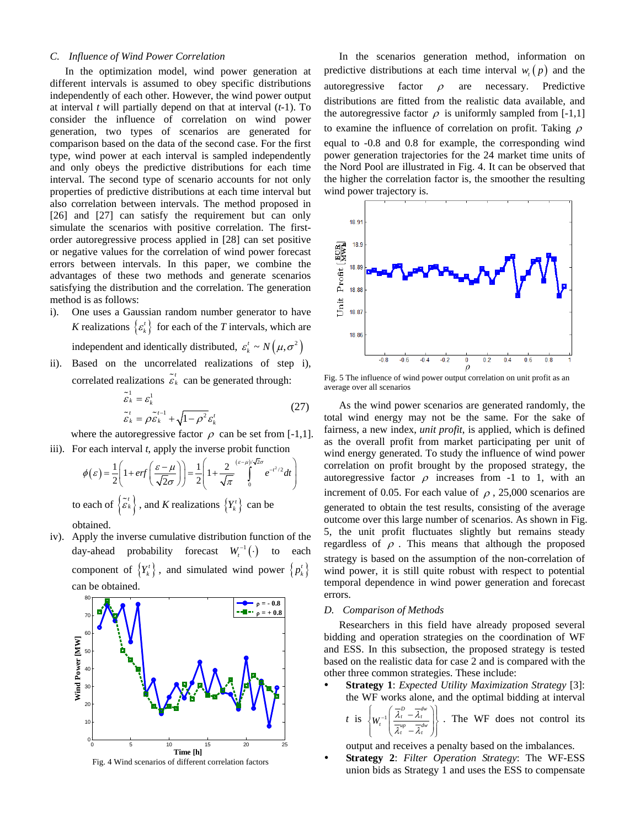## <span id="page-6-0"></span>*C. Influence of Wind Power Correlation*

In the optimization model, wind power generation at different intervals is assumed to obey specific distributions independently of each other. However, the wind power output at interval *t* will partially depend on that at interval (*t*-1). To consider the influence of correlation on wind power generation, two types of scenarios are generated for comparison based on the data of the second case. For the first type, wind power at each interval is sampled independently and only obeys the predictive distributions for each time interval. The second type of scenario accounts for not only properties of predictive distributions at each time interval but also correlation between intervals. The method proposed in [26] and [27] can satisfy the requirement but can only simulate the scenarios with positive correlation. The firstorder autoregressive process applied in [28] can set positive or negative values for the correlation of wind power forecast errors between intervals. In this paper, we combine the advantages of these two methods and generate scenarios satisfying the distribution and the correlation. The generation method is as follows:

i). One uses a Gaussian random number generator to have *K* realizations  $\{ \varepsilon_k^t \}$  for each of the *T* intervals, which are

independent and identically distributed,  $\varepsilon_k^t \sim N(\mu, \sigma^2)$ 

ii). Based on the uncorrelated realizations of step i), correlated realizations  $\tilde{\epsilon}_k^t$  can be generated through:

$$
\tilde{\varepsilon}_{k}^{1} = \varepsilon_{k}^{1}
$$
\n
$$
\tilde{\varepsilon}_{k}^{t} = \rho \tilde{\varepsilon}_{k}^{t-1} + \sqrt{1 - \rho^{2}} \varepsilon_{k}^{t}
$$
\n(27)

where the autoregressive factor  $\rho$  can be set from [-1,1]. iii). For each interval *t*, apply the inverse probit function

$$
\phi(\varepsilon) = \frac{1}{2} \left( 1 + erf\left(\frac{\varepsilon - \mu}{\sqrt{2}\sigma}\right) \right) = \frac{1}{2} \left( 1 + \frac{2}{\sqrt{\pi}} \int_{0}^{(\varepsilon - \mu)/\sqrt{2}\sigma} e^{-t^{2}/2} dt \right)
$$
  
to each of  $\left\{ \tilde{\varepsilon}_{k}^{t} \right\}$ , and *K* realizations  $\left\{ Y_{k}^{t} \right\}$  can be

obtained.

iv). Apply the inverse cumulative distribution function of the day-ahead probability forecast  $W_t^{-1}(\cdot)$  to each component of  ${Y_k^{\prime}}$ , and simulated wind power  ${p_k^{\prime}}$ can be obtained.



<span id="page-6-2"></span>

In the scenarios generation method, information on predictive distributions at each time interval  $w_t(p)$  and the autoregressive factor  $\rho$  are necessary. Predictive distributions are fitted from the realistic data available, and the autoregressive factor  $\rho$  is uniformly sampled from [-1,1] to examine the influence of correlation on profit. Taking  $\rho$ equal to -0.8 and 0.8 for example, the corresponding wind power generation trajectories for the 24 market time units of the Nord Pool are illustrated in [Fig. 4.](#page-6-2) It can be observed that the higher the correlation factor is, the smoother the resulting wind power trajectory is.



<span id="page-6-3"></span>Fig. 5 The influence of wind power output correlation on unit profit as an average over all scenarios

As the wind power scenarios are generated randomly, the total wind energy may not be the same. For the sake of fairness, a new index, *unit profit*, is applied, which is defined as the overall profit from market participating per unit of wind energy generated. To study the influence of wind power correlation on profit brought by the proposed strategy, the autoregressive factor  $\rho$  increases from -1 to 1, with an increment of 0.05. For each value of  $\rho$ , 25,000 scenarios are generated to obtain the test results, consisting of the average outcome over this large number of scenarios. As shown in [Fig.](#page-6-3)  [5,](#page-6-3) the unit profit fluctuates slightly but remains steady regardless of  $\rho$ . This means that although the proposed strategy is based on the assumption of the non-correlation of wind power, it is still quite robust with respect to potential temporal dependence in wind power generation and forecast errors.

## <span id="page-6-1"></span>*D. Comparison of Methods*

Researchers in this field have already proposed several bidding and operation strategies on the coordination of WF and ESS. In this subsection, the proposed strategy is tested based on the realistic data for case 2 and is compared with the other three common strategies. These include:

 **Strategy 1**: *Expected Utility Maximization Strategy* [3]: the WF works alone, and the optimal bidding at interval

*t* is 
$$
\left\{W_t^{-1}\left(\frac{\overline{\lambda}_t^D - \overline{\lambda}_t^{dw}}{\overline{\lambda}_t^{w_P} - \overline{\lambda}_t^{dw}}\right)\right\}
$$
. The WF does not control its

output and receives a penalty based on the imbalances.

 **Strategy 2**: *Filter Operation Strategy*: The WF-ESS union bids as Strategy 1 and uses the ESS to compensate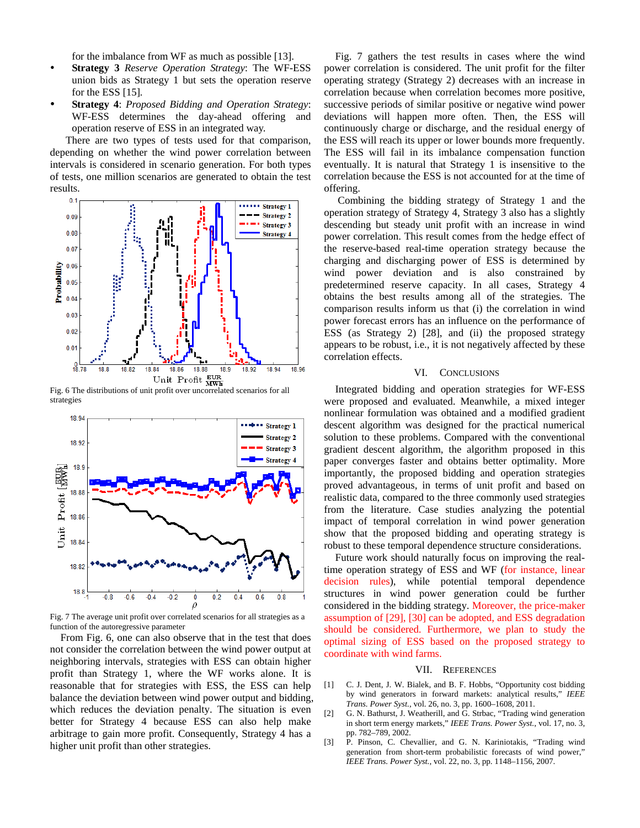for the imbalance from WF as much as possible [13].

- **Strategy 3** *Reserve Operation Strategy*: The WF-ESS union bids as Strategy 1 but sets the operation reserve for the ESS [15]*.*
- **Strategy 4**: *Proposed Bidding and Operation Strategy*: WF-ESS determines the day-ahead offering and operation reserve of ESS in an integrated way.

There are two types of tests used for that comparison, depending on whether the wind power correlation between intervals is considered in scenario generation. For both types of tests, one million scenarios are generated to obtain the test results.



<span id="page-7-1"></span>Fig. 6 The distributions of unit profit over uncorrelated scenarios for all strategies



<span id="page-7-2"></span>Fig. 7 The average unit profit over correlated scenarios for all strategies as a function of the autoregressive parameter

From [Fig. 6,](#page-7-1) one can also observe that in the test that does not consider the correlation between the wind power output at neighboring intervals, strategies with ESS can obtain higher profit than Strategy 1, where the WF works alone. It is reasonable that for strategies with ESS, the ESS can help balance the deviation between wind power output and bidding, which reduces the deviation penalty. The situation is even better for Strategy 4 because ESS can also help make arbitrage to gain more profit. Consequently, Strategy 4 has a higher unit profit than other strategies.

[Fig. 7](#page-7-2) gathers the test results in cases where the wind power correlation is considered. The unit profit for the filter operating strategy (Strategy 2) decreases with an increase in correlation because when correlation becomes more positive, successive periods of similar positive or negative wind power deviations will happen more often. Then, the ESS will continuously charge or discharge, and the residual energy of the ESS will reach its upper or lower bounds more frequently. The ESS will fail in its imbalance compensation function eventually. It is natural that Strategy 1 is insensitive to the correlation because the ESS is not accounted for at the time of offering.

Combining the bidding strategy of Strategy 1 and the operation strategy of Strategy 4, Strategy 3 also has a slightly descending but steady unit profit with an increase in wind power correlation. This result comes from the hedge effect of the reserve-based real-time operation strategy because the charging and discharging power of ESS is determined by wind power deviation and is also constrained by predetermined reserve capacity. In all cases, Strategy 4 obtains the best results among all of the strategies. The comparison results inform us that (i) the correlation in wind power forecast errors has an influence on the performance of ESS (as Strategy 2) [28], and (ii) the proposed strategy appears to be robust, i.e., it is not negatively affected by these correlation effects.

# VI. CONCLUSIONS

<span id="page-7-0"></span>Integrated bidding and operation strategies for WF-ESS were proposed and evaluated. Meanwhile, a mixed integer nonlinear formulation was obtained and a modified gradient descent algorithm was designed for the practical numerical solution to these problems. Compared with the conventional gradient descent algorithm, the algorithm proposed in this paper converges faster and obtains better optimality. More importantly, the proposed bidding and operation strategies proved advantageous, in terms of unit profit and based on realistic data, compared to the three commonly used strategies from the literature. Case studies analyzing the potential impact of temporal correlation in wind power generation show that the proposed bidding and operating strategy is robust to these temporal dependence structure considerations.

Future work should naturally focus on improving the realtime operation strategy of ESS and WF (for instance, linear decision rules), while potential temporal dependence structures in wind power generation could be further considered in the bidding strategy. Moreover, the price-maker assumption of [29], [30] can be adopted, and ESS degradation should be considered. Furthermore, we plan to study the optimal sizing of ESS based on the proposed strategy to coordinate with wind farms.

#### VII. REFERENCES

- [1] C. J. Dent, J. W. Bialek, and B. F. Hobbs, "Opportunity cost bidding by wind generators in forward markets: analytical results," *IEEE Trans. Power Syst.*, vol. 26, no. 3, pp. 1600–1608, 2011.
- [2] G. N. Bathurst, J. Weatherill, and G. Strbac, "Trading wind generation in short term energy markets," *IEEE Trans. Power Syst.*, vol. 17, no. 3, pp. 782–789, 2002.
- [3] P. Pinson, C. Chevallier, and G. N. Kariniotakis, "Trading wind generation from short-term probabilistic forecasts of wind power," *IEEE Trans. Power Syst.*, vol. 22, no. 3, pp. 1148–1156, 2007.